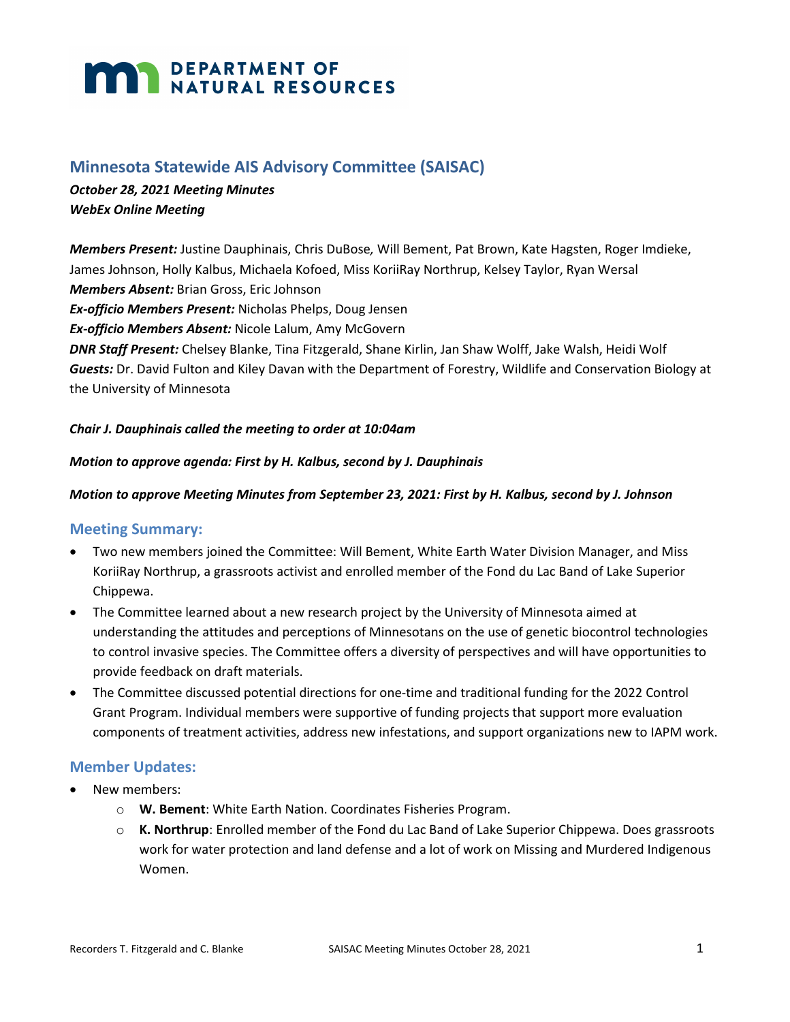# **MARIA DEPARTMENT OF NATURAL RESOURCES**

# **Minnesota Statewide AIS Advisory Committee (SAISAC)**

# *October 28, 2021 Meeting Minutes WebEx Online Meeting*

*Members Present:* Justine Dauphinais, Chris DuBose*,* Will Bement, Pat Brown, Kate Hagsten, Roger Imdieke, James Johnson, Holly Kalbus, Michaela Kofoed, Miss KoriiRay Northrup, Kelsey Taylor, Ryan Wersal *Members Absent:* Brian Gross, Eric Johnson *Ex-officio Members Present:* Nicholas Phelps, Doug Jensen

*Ex-officio Members Absent:* Nicole Lalum, Amy McGovern

*DNR Staff Present:* Chelsey Blanke, Tina Fitzgerald, Shane Kirlin, Jan Shaw Wolff, Jake Walsh, Heidi Wolf *Guests:* Dr. David Fulton and Kiley Davan with the Department of Forestry, Wildlife and Conservation Biology at the University of Minnesota

#### *Chair J. Dauphinais called the meeting to order at 10:04am*

#### *Motion to approve agenda: First by H. Kalbus, second by J. Dauphinais*

#### *Motion to approve Meeting Minutes from September 23, 2021: First by H. Kalbus, second by J. Johnson*

#### **Meeting Summary:**

- Two new members joined the Committee: Will Bement, White Earth Water Division Manager, and Miss KoriiRay Northrup, a grassroots activist and enrolled member of the Fond du Lac Band of Lake Superior Chippewa.
- The Committee learned about a new research project by the University of Minnesota aimed at understanding the attitudes and perceptions of Minnesotans on the use of genetic biocontrol technologies to control invasive species. The Committee offers a diversity of perspectives and will have opportunities to provide feedback on draft materials.
- The Committee discussed potential directions for one-time and traditional funding for the 2022 Control Grant Program. Individual members were supportive of funding projects that support more evaluation components of treatment activities, address new infestations, and support organizations new to IAPM work.

#### **Member Updates:**

- New members:
	- o **W. Bement**: White Earth Nation. Coordinates Fisheries Program.
	- o **K. Northrup**: Enrolled member of the Fond du Lac Band of Lake Superior Chippewa. Does grassroots work for water protection and land defense and a lot of work on Missing and Murdered Indigenous Women.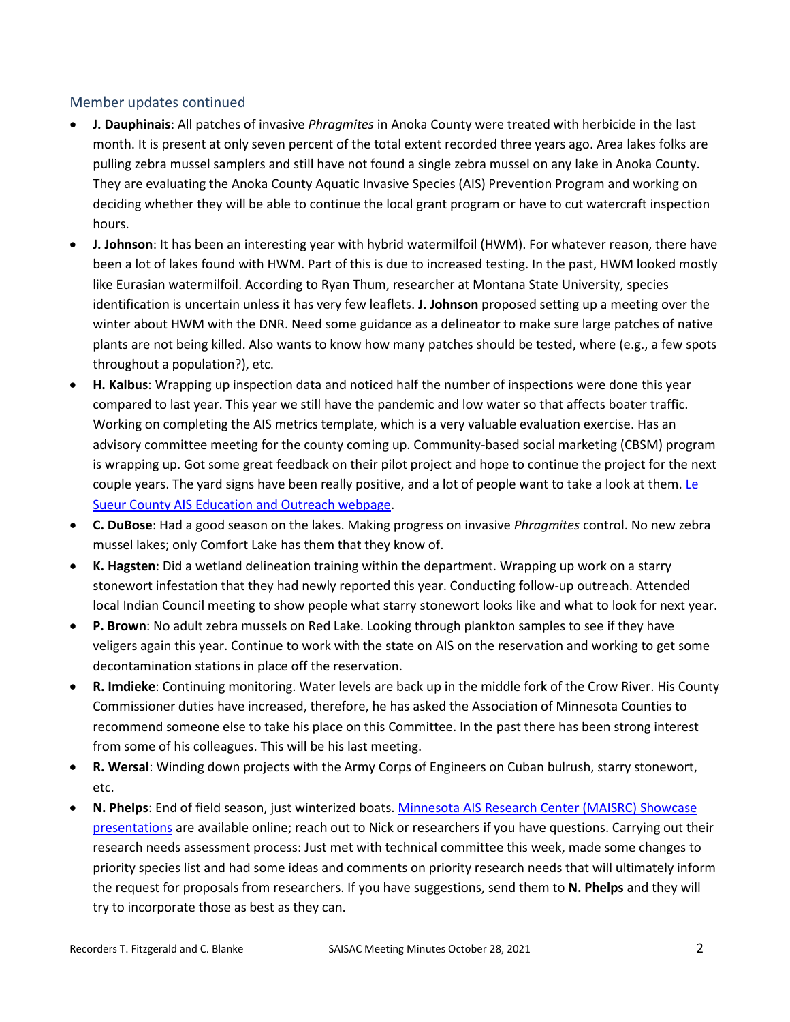#### Member updates continued

- **J. Dauphinais**: All patches of invasive *Phragmites* in Anoka County were treated with herbicide in the last month. It is present at only seven percent of the total extent recorded three years ago. Area lakes folks are pulling zebra mussel samplers and still have not found a single zebra mussel on any lake in Anoka County. They are evaluating the Anoka County Aquatic Invasive Species (AIS) Prevention Program and working on deciding whether they will be able to continue the local grant program or have to cut watercraft inspection hours.
- **J. Johnson**: It has been an interesting year with hybrid watermilfoil (HWM). For whatever reason, there have been a lot of lakes found with HWM. Part of this is due to increased testing. In the past, HWM looked mostly like Eurasian watermilfoil. According to Ryan Thum, researcher at Montana State University, species identification is uncertain unless it has very few leaflets. **J. Johnson** proposed setting up a meeting over the winter about HWM with the DNR. Need some guidance as a delineator to make sure large patches of native plants are not being killed. Also wants to know how many patches should be tested, where (e.g., a few spots throughout a population?), etc.
- **H. Kalbus**: Wrapping up inspection data and noticed half the number of inspections were done this year compared to last year. This year we still have the pandemic and low water so that affects boater traffic. Working on completing the AIS metrics template, which is a very valuable evaluation exercise. Has an advisory committee meeting for the county coming up. Community-based social marketing (CBSM) program is wrapping up. Got some great feedback on their pilot project and hope to continue the project for the next couple years. The yard signs have been really positive, and a lot of people want to take a look at them. Le [Sueur County AIS Education and Outreach webpage.](https://www.co.le-sueur.mn.us/556/Education-and-Outreach)
- **C. DuBose**: Had a good season on the lakes. Making progress on invasive *Phragmites* control. No new zebra mussel lakes; only Comfort Lake has them that they know of.
- **K. Hagsten**: Did a wetland delineation training within the department. Wrapping up work on a starry stonewort infestation that they had newly reported this year. Conducting follow-up outreach. Attended local Indian Council meeting to show people what starry stonewort looks like and what to look for next year.
- **P. Brown**: No adult zebra mussels on Red Lake. Looking through plankton samples to see if they have veligers again this year. Continue to work with the state on AIS on the reservation and working to get some decontamination stations in place off the reservation.
- **R. Imdieke**: Continuing monitoring. Water levels are back up in the middle fork of the Crow River. His County Commissioner duties have increased, therefore, he has asked the Association of Minnesota Counties to recommend someone else to take his place on this Committee. In the past there has been strong interest from some of his colleagues. This will be his last meeting.
- **R. Wersal**: Winding down projects with the Army Corps of Engineers on Cuban bulrush, starry stonewort, etc.
- **N. Phelps**: End of field season, just winterized boats[. Minnesota AIS Research Center \(MAISRC\)](https://www.youtube.com/playlist?app=desktop&list=PLktVBGXyZRL7E8vndxCFEdp2sAFp13UR7) Showcase [presentations](https://www.youtube.com/playlist?app=desktop&list=PLktVBGXyZRL7E8vndxCFEdp2sAFp13UR7) are available online; reach out to Nick or researchers if you have questions. Carrying out their research needs assessment process: Just met with technical committee this week, made some changes to priority species list and had some ideas and comments on priority research needs that will ultimately inform the request for proposals from researchers. If you have suggestions, send them to **N. Phelps** and they will try to incorporate those as best as they can.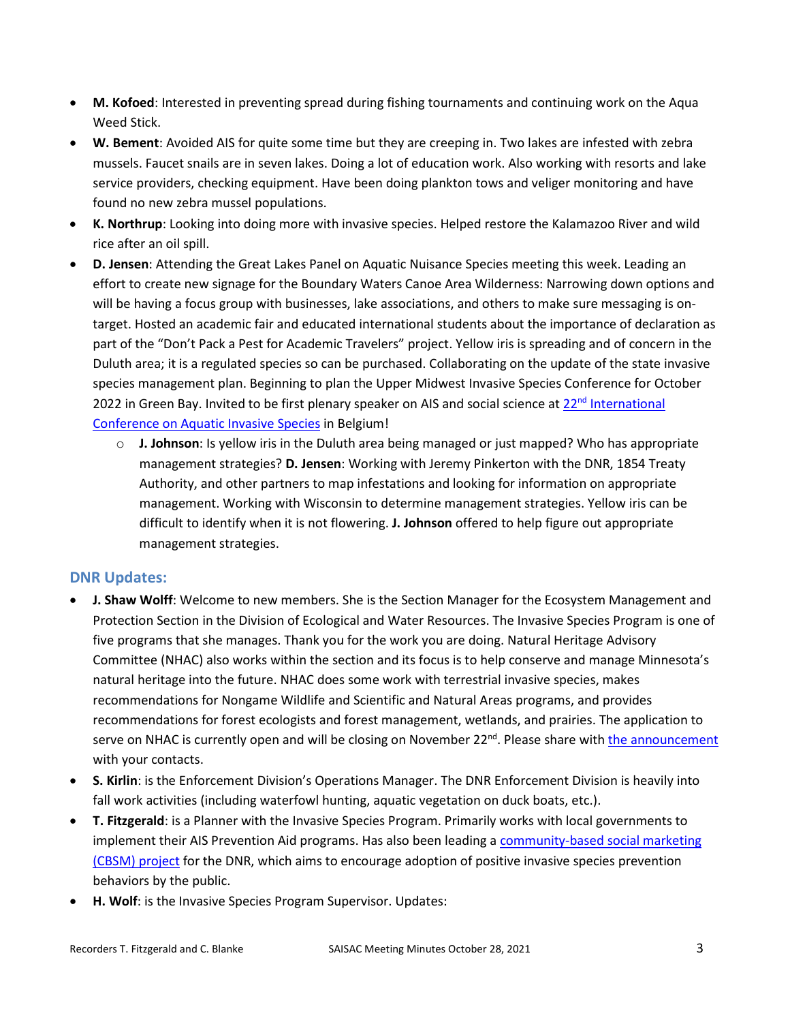- **M. Kofoed**: Interested in preventing spread during fishing tournaments and continuing work on the Aqua Weed Stick.
- **W. Bement**: Avoided AIS for quite some time but they are creeping in. Two lakes are infested with zebra mussels. Faucet snails are in seven lakes. Doing a lot of education work. Also working with resorts and lake service providers, checking equipment. Have been doing plankton tows and veliger monitoring and have found no new zebra mussel populations.
- **K. Northrup**: Looking into doing more with invasive species. Helped restore the Kalamazoo River and wild rice after an oil spill.
- **D. Jensen**: Attending the Great Lakes Panel on Aquatic Nuisance Species meeting this week. Leading an effort to create new signage for the Boundary Waters Canoe Area Wilderness: Narrowing down options and will be having a focus group with businesses, lake associations, and others to make sure messaging is ontarget. Hosted an academic fair and educated international students about the importance of declaration as part of the "Don't Pack a Pest for Academic Travelers" project. Yellow iris is spreading and of concern in the Duluth area; it is a regulated species so can be purchased. Collaborating on the update of the state invasive species management plan. Beginning to plan the Upper Midwest Invasive Species Conference for October 2022 in Green Bay. Invited to be first plenary speaker on AIS and social science at 22<sup>nd</sup> International [Conference on Aquatic Invasive Species](https://icais.org/) in Belgium!
	- o **J. Johnson**: Is yellow iris in the Duluth area being managed or just mapped? Who has appropriate management strategies? **D. Jensen**: Working with Jeremy Pinkerton with the DNR, 1854 Treaty Authority, and other partners to map infestations and looking for information on appropriate management. Working with Wisconsin to determine management strategies. Yellow iris can be difficult to identify when it is not flowering. **J. Johnson** offered to help figure out appropriate management strategies.

# **DNR Updates:**

- **J. Shaw Wolff**: Welcome to new members. She is the Section Manager for the Ecosystem Management and Protection Section in the Division of Ecological and Water Resources. The Invasive Species Program is one of five programs that she manages. Thank you for the work you are doing. Natural Heritage Advisory Committee (NHAC) also works within the section and its focus is to help conserve and manage Minnesota's natural heritage into the future. NHAC does some work with terrestrial invasive species, makes recommendations for Nongame Wildlife and Scientific and Natural Areas programs, and provides recommendations for forest ecologists and forest management, wetlands, and prairies. The application to serve on NHAC is currently open and will be closing on November  $22^{nd}$ . Please share wit[h the announcement](https://www.dnr.state.mn.us/nhac/index.html) with your contacts.
- **S. Kirlin**: is the Enforcement Division's Operations Manager. The DNR Enforcement Division is heavily into fall work activities (including waterfowl hunting, aquatic vegetation on duck boats, etc.).
- **T. Fitzgerald**: is a Planner with the Invasive Species Program. Primarily works with local governments to implement their AIS Prevention Aid programs. Has also been leading [a community-based social marketing](https://www.dnr.state.mn.us/invasives/ais/prevention/behavior-change.html) [\(CBSM\) project](https://www.dnr.state.mn.us/invasives/ais/prevention/behavior-change.html) for the DNR, which aims to encourage adoption of positive invasive species prevention behaviors by the public.
- **H. Wolf**: is the Invasive Species Program Supervisor. Updates: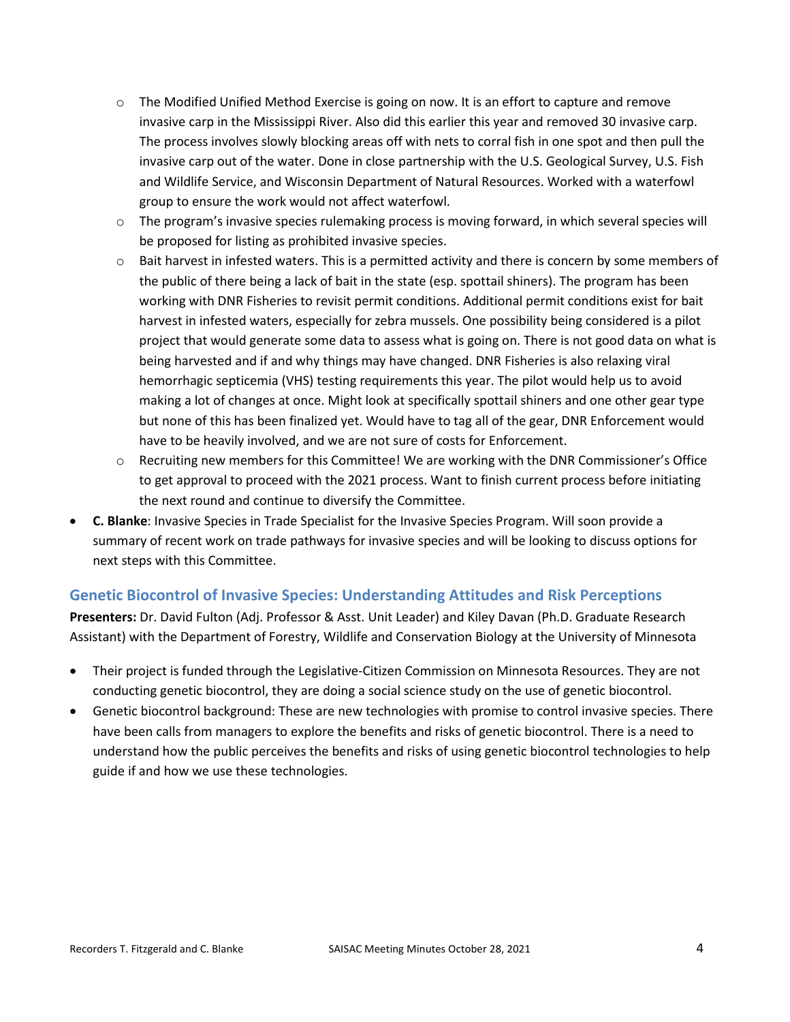- $\circ$  The Modified Unified Method Exercise is going on now. It is an effort to capture and remove invasive carp in the Mississippi River. Also did this earlier this year and removed 30 invasive carp. The process involves slowly blocking areas off with nets to corral fish in one spot and then pull the invasive carp out of the water. Done in close partnership with the U.S. Geological Survey, U.S. Fish and Wildlife Service, and Wisconsin Department of Natural Resources. Worked with a waterfowl group to ensure the work would not affect waterfowl.
- $\circ$  The program's invasive species rulemaking process is moving forward, in which several species will be proposed for listing as prohibited invasive species.
- $\circ$  Bait harvest in infested waters. This is a permitted activity and there is concern by some members of the public of there being a lack of bait in the state (esp. spottail shiners). The program has been working with DNR Fisheries to revisit permit conditions. Additional permit conditions exist for bait harvest in infested waters, especially for zebra mussels. One possibility being considered is a pilot project that would generate some data to assess what is going on. There is not good data on what is being harvested and if and why things may have changed. DNR Fisheries is also relaxing viral hemorrhagic septicemia (VHS) testing requirements this year. The pilot would help us to avoid making a lot of changes at once. Might look at specifically spottail shiners and one other gear type but none of this has been finalized yet. Would have to tag all of the gear, DNR Enforcement would have to be heavily involved, and we are not sure of costs for Enforcement.
- o Recruiting new members for this Committee! We are working with the DNR Commissioner's Office to get approval to proceed with the 2021 process. Want to finish current process before initiating the next round and continue to diversify the Committee.
- **C. Blanke**: Invasive Species in Trade Specialist for the Invasive Species Program. Will soon provide a summary of recent work on trade pathways for invasive species and will be looking to discuss options for next steps with this Committee.

#### **Genetic Biocontrol of Invasive Species: Understanding Attitudes and Risk Perceptions**

**Presenters:** Dr. David Fulton (Adj. Professor & Asst. Unit Leader) and Kiley Davan (Ph.D. Graduate Research Assistant) with the Department of Forestry, Wildlife and Conservation Biology at the University of Minnesota

- Their project is funded through the Legislative-Citizen Commission on Minnesota Resources. They are not conducting genetic biocontrol, they are doing a social science study on the use of genetic biocontrol.
- Genetic biocontrol background: These are new technologies with promise to control invasive species. There have been calls from managers to explore the benefits and risks of genetic biocontrol. There is a need to understand how the public perceives the benefits and risks of using genetic biocontrol technologies to help guide if and how we use these technologies.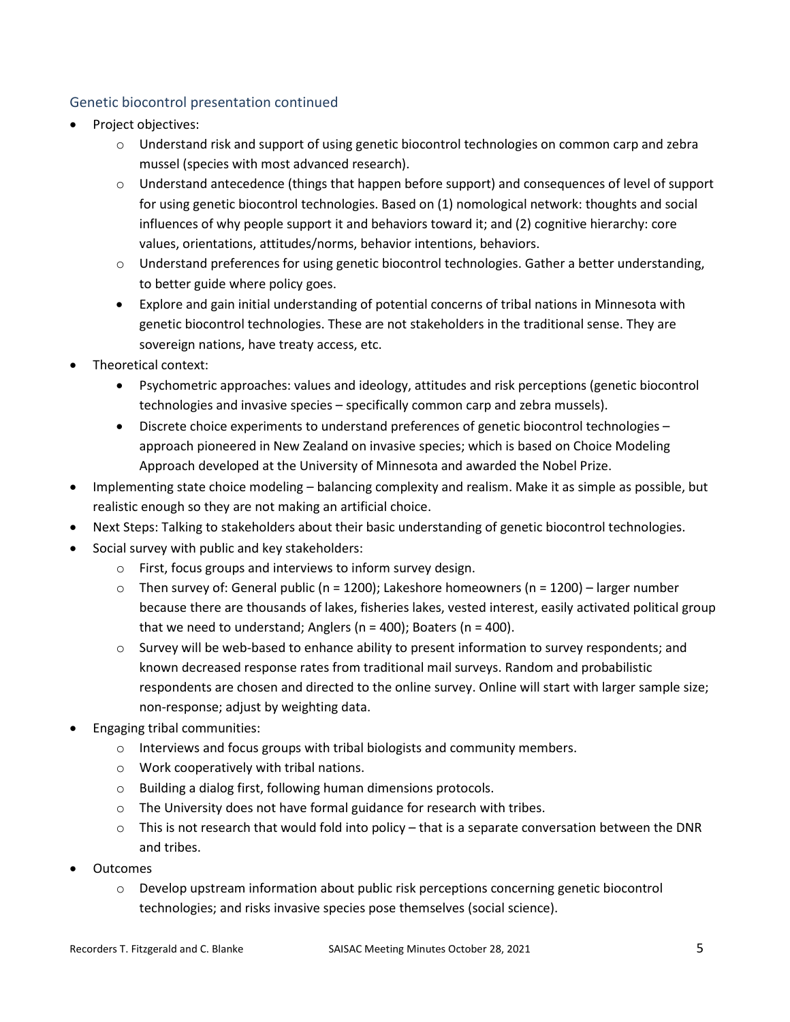# Genetic biocontrol presentation continued

- Project objectives:
	- $\circ$  Understand risk and support of using genetic biocontrol technologies on common carp and zebra mussel (species with most advanced research).
	- o Understand antecedence (things that happen before support) and consequences of level of support for using genetic biocontrol technologies. Based on (1) nomological network: thoughts and social influences of why people support it and behaviors toward it; and (2) cognitive hierarchy: core values, orientations, attitudes/norms, behavior intentions, behaviors.
	- $\circ$  Understand preferences for using genetic biocontrol technologies. Gather a better understanding, to better guide where policy goes.
	- Explore and gain initial understanding of potential concerns of tribal nations in Minnesota with genetic biocontrol technologies. These are not stakeholders in the traditional sense. They are sovereign nations, have treaty access, etc.
- Theoretical context:
	- Psychometric approaches: values and ideology, attitudes and risk perceptions (genetic biocontrol technologies and invasive species – specifically common carp and zebra mussels).
	- Discrete choice experiments to understand preferences of genetic biocontrol technologies approach pioneered in New Zealand on invasive species; which is based on Choice Modeling Approach developed at the University of Minnesota and awarded the Nobel Prize.
- Implementing state choice modeling balancing complexity and realism. Make it as simple as possible, but realistic enough so they are not making an artificial choice.
- Next Steps: Talking to stakeholders about their basic understanding of genetic biocontrol technologies.
- Social survey with public and key stakeholders:
	- o First, focus groups and interviews to inform survey design.
	- $\circ$  Then survey of: General public (n = 1200); Lakeshore homeowners (n = 1200) larger number because there are thousands of lakes, fisheries lakes, vested interest, easily activated political group that we need to understand; Anglers ( $n = 400$ ); Boaters ( $n = 400$ ).
	- $\circ$  Survey will be web-based to enhance ability to present information to survey respondents; and known decreased response rates from traditional mail surveys. Random and probabilistic respondents are chosen and directed to the online survey. Online will start with larger sample size; non-response; adjust by weighting data.
- Engaging tribal communities:
	- $\circ$  Interviews and focus groups with tribal biologists and community members.
	- o Work cooperatively with tribal nations.
	- o Building a dialog first, following human dimensions protocols.
	- o The University does not have formal guidance for research with tribes.
	- $\circ$  This is not research that would fold into policy that is a separate conversation between the DNR and tribes.
- Outcomes
	- $\circ$  Develop upstream information about public risk perceptions concerning genetic biocontrol technologies; and risks invasive species pose themselves (social science).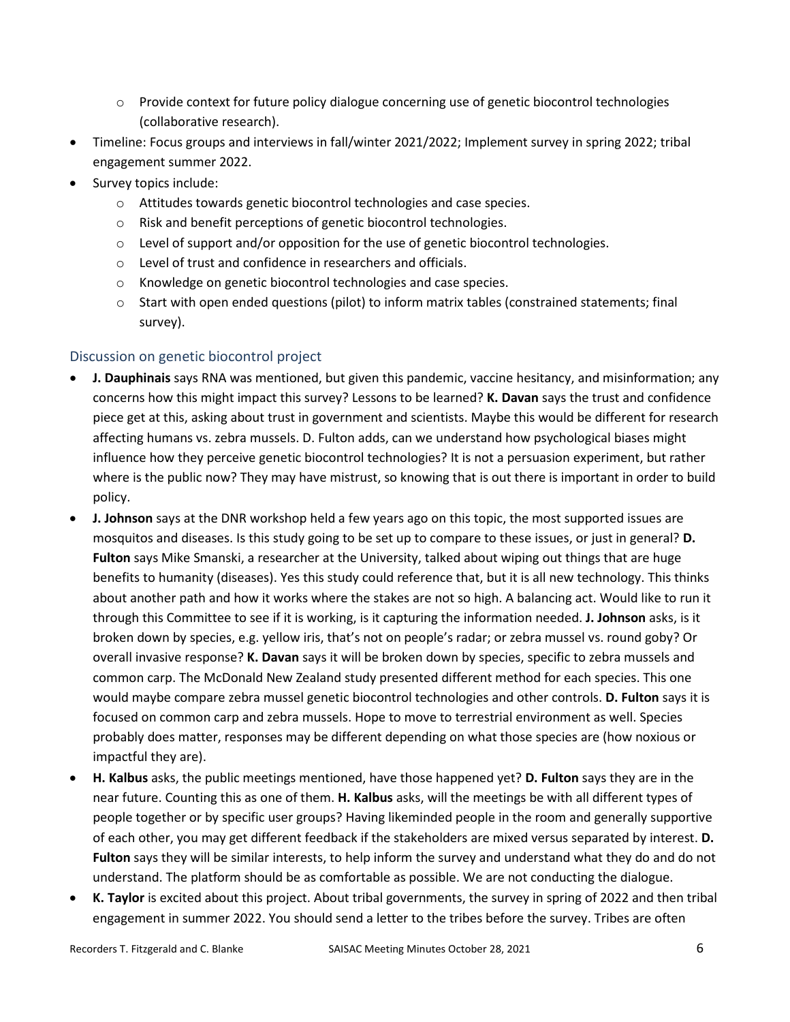- $\circ$  Provide context for future policy dialogue concerning use of genetic biocontrol technologies (collaborative research).
- Timeline: Focus groups and interviews in fall/winter 2021/2022; Implement survey in spring 2022; tribal engagement summer 2022.
- Survey topics include:
	- o Attitudes towards genetic biocontrol technologies and case species.
	- o Risk and benefit perceptions of genetic biocontrol technologies.
	- $\circ$  Level of support and/or opposition for the use of genetic biocontrol technologies.
	- o Level of trust and confidence in researchers and officials.
	- o Knowledge on genetic biocontrol technologies and case species.
	- $\circ$  Start with open ended questions (pilot) to inform matrix tables (constrained statements; final survey).

# Discussion on genetic biocontrol project

- **J. Dauphinais** says RNA was mentioned, but given this pandemic, vaccine hesitancy, and misinformation; any concerns how this might impact this survey? Lessons to be learned? **K. Davan** says the trust and confidence piece get at this, asking about trust in government and scientists. Maybe this would be different for research affecting humans vs. zebra mussels. D. Fulton adds, can we understand how psychological biases might influence how they perceive genetic biocontrol technologies? It is not a persuasion experiment, but rather where is the public now? They may have mistrust, so knowing that is out there is important in order to build policy.
- **J. Johnson** says at the DNR workshop held a few years ago on this topic, the most supported issues are mosquitos and diseases. Is this study going to be set up to compare to these issues, or just in general? **D. Fulton** says Mike Smanski, a researcher at the University, talked about wiping out things that are huge benefits to humanity (diseases). Yes this study could reference that, but it is all new technology. This thinks about another path and how it works where the stakes are not so high. A balancing act. Would like to run it through this Committee to see if it is working, is it capturing the information needed. **J. Johnson** asks, is it broken down by species, e.g. yellow iris, that's not on people's radar; or zebra mussel vs. round goby? Or overall invasive response? **K. Davan** says it will be broken down by species, specific to zebra mussels and common carp. The McDonald New Zealand study presented different method for each species. This one would maybe compare zebra mussel genetic biocontrol technologies and other controls. **D. Fulton** says it is focused on common carp and zebra mussels. Hope to move to terrestrial environment as well. Species probably does matter, responses may be different depending on what those species are (how noxious or impactful they are).
- **H. Kalbus** asks, the public meetings mentioned, have those happened yet? **D. Fulton** says they are in the near future. Counting this as one of them. **H. Kalbus** asks, will the meetings be with all different types of people together or by specific user groups? Having likeminded people in the room and generally supportive of each other, you may get different feedback if the stakeholders are mixed versus separated by interest. **D. Fulton** says they will be similar interests, to help inform the survey and understand what they do and do not understand. The platform should be as comfortable as possible. We are not conducting the dialogue.
- **K. Taylor** is excited about this project. About tribal governments, the survey in spring of 2022 and then tribal engagement in summer 2022. You should send a letter to the tribes before the survey. Tribes are often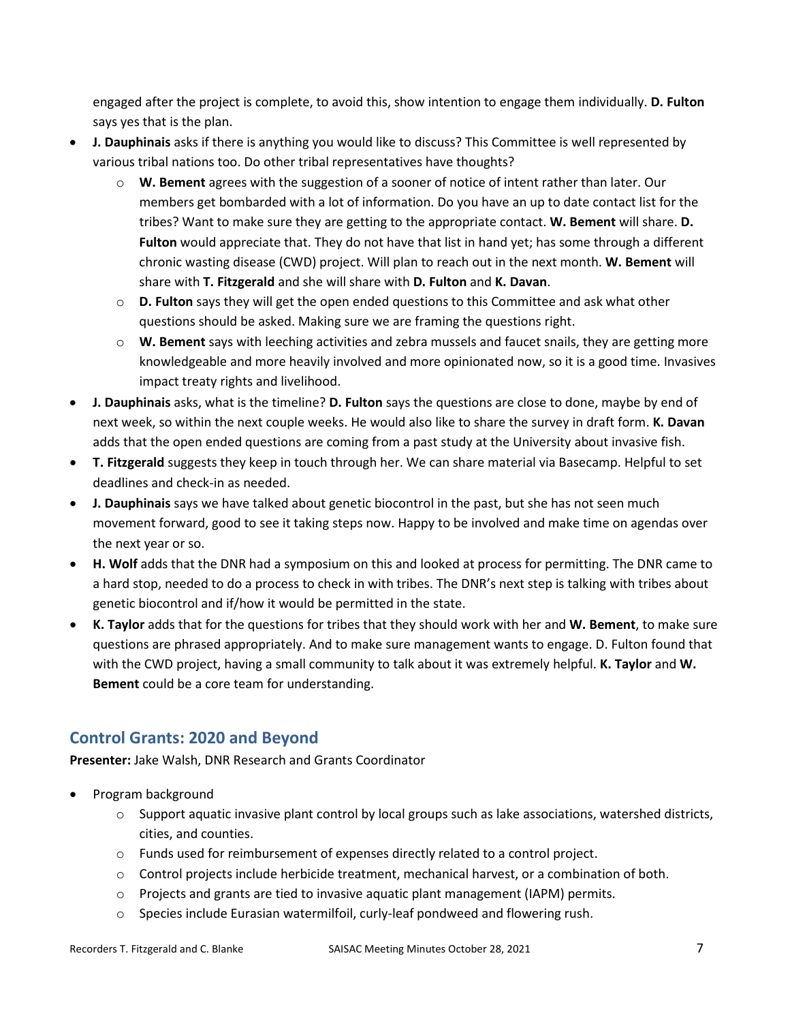engaged after the project is complete, to avoid this, show intention to engage them individually. **D. Fulton** says yes that is the plan.

- **J. Dauphinais** asks if there is anything you would like to discuss? This Committee is well represented by various tribal nations too. Do other tribal representatives have thoughts?
	- o **W. Bement** agrees with the suggestion of a sooner of notice of intent rather than later. Our members get bombarded with a lot of information. Do you have an up to date contact list for the tribes? Want to make sure they are getting to the appropriate contact. **W. Bement** will share. **D. Fulton** would appreciate that. They do not have that list in hand yet; has some through a different chronic wasting disease (CWD) project. Will plan to reach out in the next month. **W. Bement** will share with **T. Fitzgerald** and she will share with **D. Fulton** and **K. Davan**.
	- o **D. Fulton** says they will get the open ended questions to this Committee and ask what other questions should be asked. Making sure we are framing the questions right.
	- o **W. Bement** says with leeching activities and zebra mussels and faucet snails, they are getting more knowledgeable and more heavily involved and more opinionated now, so it is a good time. Invasives impact treaty rights and livelihood.
- **J. Dauphinais** asks, what is the timeline? **D. Fulton** says the questions are close to done, maybe by end of next week, so within the next couple weeks. He would also like to share the survey in draft form. **K. Davan** adds that the open ended questions are coming from a past study at the University about invasive fish.
- **T. Fitzgerald** suggests they keep in touch through her. We can share material via Basecamp. Helpful to set deadlines and check-in as needed.
- **J. Dauphinais** says we have talked about genetic biocontrol in the past, but she has not seen much movement forward, good to see it taking steps now. Happy to be involved and make time on agendas over the next year or so.
- **H. Wolf** adds that the DNR had a symposium on this and looked at process for permitting. The DNR came to a hard stop, needed to do a process to check in with tribes. The DNR's next step is talking with tribes about genetic biocontrol and if/how it would be permitted in the state.
- **K. Taylor** adds that for the questions for tribes that they should work with her and **W. Bement**, to make sure questions are phrased appropriately. And to make sure management wants to engage. D. Fulton found that with the CWD project, having a small community to talk about it was extremely helpful. **K. Taylor** and **W. Bement** could be a core team for understanding.

# **Control Grants: 2020 and Beyond**

**Presenter:** Jake Walsh, DNR Research and Grants Coordinator

- Program background
	- $\circ$  Support aquatic invasive plant control by local groups such as lake associations, watershed districts, cities, and counties.
	- $\circ$  Funds used for reimbursement of expenses directly related to a control project.
	- $\circ$  Control projects include herbicide treatment, mechanical harvest, or a combination of both.
	- $\circ$  Projects and grants are tied to invasive aquatic plant management (IAPM) permits.
	- o Species include Eurasian watermilfoil, curly-leaf pondweed and flowering rush.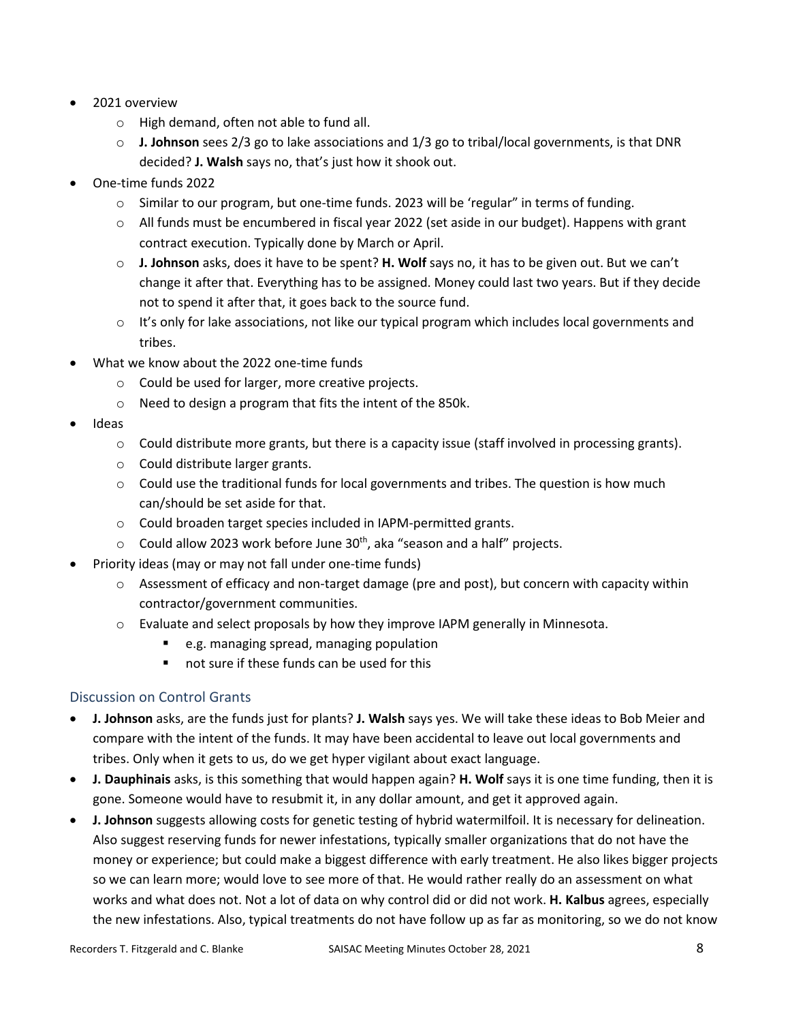- 2021 overview
	- o High demand, often not able to fund all.
	- o **J. Johnson** sees 2/3 go to lake associations and 1/3 go to tribal/local governments, is that DNR decided? **J. Walsh** says no, that's just how it shook out.
- One-time funds 2022
	- o Similar to our program, but one-time funds. 2023 will be 'regular" in terms of funding.
	- $\circ$  All funds must be encumbered in fiscal year 2022 (set aside in our budget). Happens with grant contract execution. Typically done by March or April.
	- o **J. Johnson** asks, does it have to be spent? **H. Wolf** says no, it has to be given out. But we can't change it after that. Everything has to be assigned. Money could last two years. But if they decide not to spend it after that, it goes back to the source fund.
	- $\circ$  It's only for lake associations, not like our typical program which includes local governments and tribes.
- What we know about the 2022 one-time funds
	- o Could be used for larger, more creative projects.
	- o Need to design a program that fits the intent of the 850k.
- Ideas
	- $\circ$  Could distribute more grants, but there is a capacity issue (staff involved in processing grants).
	- o Could distribute larger grants.
	- $\circ$  Could use the traditional funds for local governments and tribes. The question is how much can/should be set aside for that.
	- o Could broaden target species included in IAPM-permitted grants.
	- $\circ$  Could allow 2023 work before June 30<sup>th</sup>, aka "season and a half" projects.
- Priority ideas (may or may not fall under one-time funds)
	- $\circ$  Assessment of efficacy and non-target damage (pre and post), but concern with capacity within contractor/government communities.
	- o Evaluate and select proposals by how they improve IAPM generally in Minnesota.
		- e.g. managing spread, managing population
		- not sure if these funds can be used for this

#### Discussion on Control Grants

- **J. Johnson** asks, are the funds just for plants? **J. Walsh** says yes. We will take these ideas to Bob Meier and compare with the intent of the funds. It may have been accidental to leave out local governments and tribes. Only when it gets to us, do we get hyper vigilant about exact language.
- **J. Dauphinais** asks, is this something that would happen again? **H. Wolf** says it is one time funding, then it is gone. Someone would have to resubmit it, in any dollar amount, and get it approved again.
- **J. Johnson** suggests allowing costs for genetic testing of hybrid watermilfoil. It is necessary for delineation. Also suggest reserving funds for newer infestations, typically smaller organizations that do not have the money or experience; but could make a biggest difference with early treatment. He also likes bigger projects so we can learn more; would love to see more of that. He would rather really do an assessment on what works and what does not. Not a lot of data on why control did or did not work. **H. Kalbus** agrees, especially the new infestations. Also, typical treatments do not have follow up as far as monitoring, so we do not know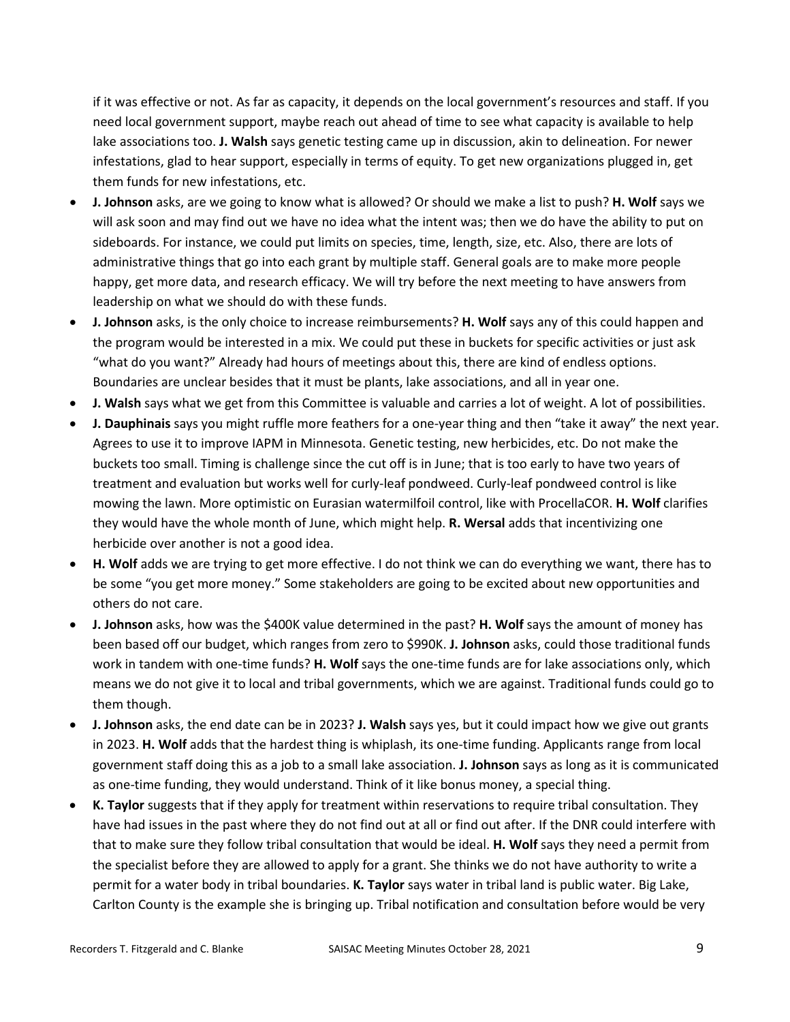if it was effective or not. As far as capacity, it depends on the local government's resources and staff. If you need local government support, maybe reach out ahead of time to see what capacity is available to help lake associations too. **J. Walsh** says genetic testing came up in discussion, akin to delineation. For newer infestations, glad to hear support, especially in terms of equity. To get new organizations plugged in, get them funds for new infestations, etc.

- **J. Johnson** asks, are we going to know what is allowed? Or should we make a list to push? **H. Wolf** says we will ask soon and may find out we have no idea what the intent was; then we do have the ability to put on sideboards. For instance, we could put limits on species, time, length, size, etc. Also, there are lots of administrative things that go into each grant by multiple staff. General goals are to make more people happy, get more data, and research efficacy. We will try before the next meeting to have answers from leadership on what we should do with these funds.
- **J. Johnson** asks, is the only choice to increase reimbursements? **H. Wolf** says any of this could happen and the program would be interested in a mix. We could put these in buckets for specific activities or just ask "what do you want?" Already had hours of meetings about this, there are kind of endless options. Boundaries are unclear besides that it must be plants, lake associations, and all in year one.
- **J. Walsh** says what we get from this Committee is valuable and carries a lot of weight. A lot of possibilities.
- **J. Dauphinais** says you might ruffle more feathers for a one-year thing and then "take it away" the next year. Agrees to use it to improve IAPM in Minnesota. Genetic testing, new herbicides, etc. Do not make the buckets too small. Timing is challenge since the cut off is in June; that is too early to have two years of treatment and evaluation but works well for curly-leaf pondweed. Curly-leaf pondweed control is like mowing the lawn. More optimistic on Eurasian watermilfoil control, like with ProcellaCOR. **H. Wolf** clarifies they would have the whole month of June, which might help. **R. Wersal** adds that incentivizing one herbicide over another is not a good idea.
- **H. Wolf** adds we are trying to get more effective. I do not think we can do everything we want, there has to be some "you get more money." Some stakeholders are going to be excited about new opportunities and others do not care.
- **J. Johnson** asks, how was the \$400K value determined in the past? **H. Wolf** says the amount of money has been based off our budget, which ranges from zero to \$990K. **J. Johnson** asks, could those traditional funds work in tandem with one-time funds? **H. Wolf** says the one-time funds are for lake associations only, which means we do not give it to local and tribal governments, which we are against. Traditional funds could go to them though.
- **J. Johnson** asks, the end date can be in 2023? **J. Walsh** says yes, but it could impact how we give out grants in 2023. **H. Wolf** adds that the hardest thing is whiplash, its one-time funding. Applicants range from local government staff doing this as a job to a small lake association. **J. Johnson** says as long as it is communicated as one-time funding, they would understand. Think of it like bonus money, a special thing.
- **K. Taylor** suggests that if they apply for treatment within reservations to require tribal consultation. They have had issues in the past where they do not find out at all or find out after. If the DNR could interfere with that to make sure they follow tribal consultation that would be ideal. **H. Wolf** says they need a permit from the specialist before they are allowed to apply for a grant. She thinks we do not have authority to write a permit for a water body in tribal boundaries. **K. Taylor** says water in tribal land is public water. Big Lake, Carlton County is the example she is bringing up. Tribal notification and consultation before would be very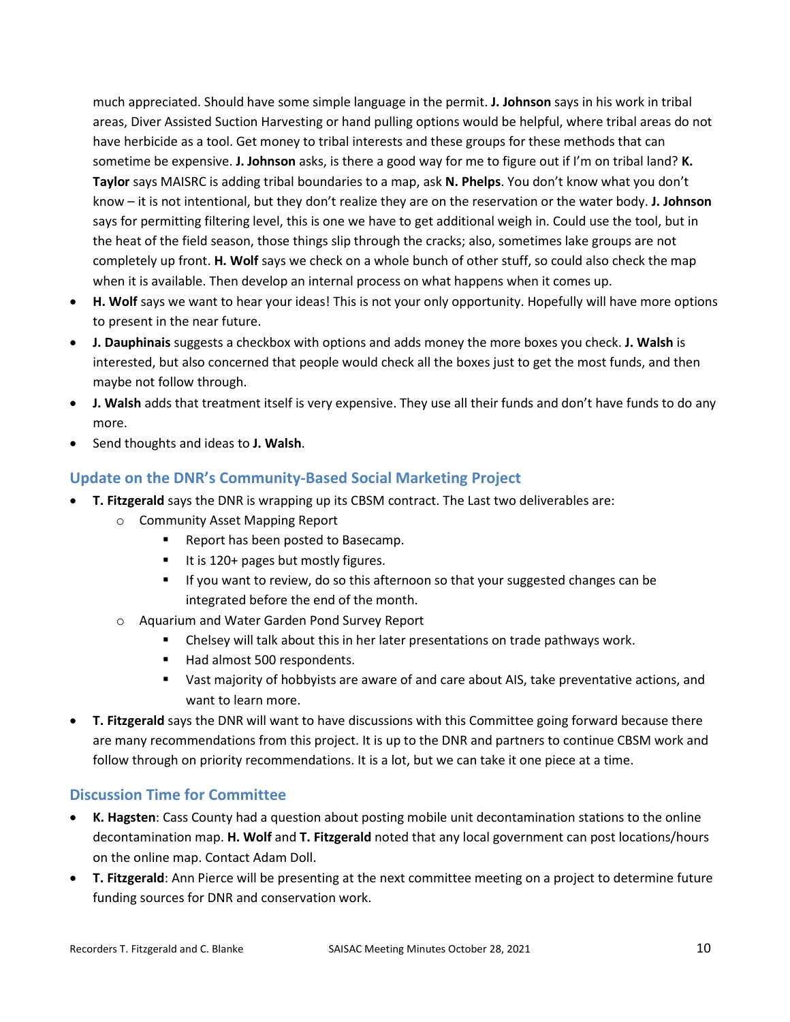much appreciated. Should have some simple language in the permit. **J. Johnson** says in his work in tribal areas, Diver Assisted Suction Harvesting or hand pulling options would be helpful, where tribal areas do not have herbicide as a tool. Get money to tribal interests and these groups for these methods that can sometime be expensive. **J. Johnson** asks, is there a good way for me to figure out if I'm on tribal land? **K. Taylor** says MAISRC is adding tribal boundaries to a map, ask **N. Phelps**. You don't know what you don't know – it is not intentional, but they don't realize they are on the reservation or the water body. **J. Johnson** says for permitting filtering level, this is one we have to get additional weigh in. Could use the tool, but in the heat of the field season, those things slip through the cracks; also, sometimes lake groups are not completely up front. **H. Wolf** says we check on a whole bunch of other stuff, so could also check the map when it is available. Then develop an internal process on what happens when it comes up.

- **H. Wolf** says we want to hear your ideas! This is not your only opportunity. Hopefully will have more options to present in the near future.
- **J. Dauphinais** suggests a checkbox with options and adds money the more boxes you check. **J. Walsh** is interested, but also concerned that people would check all the boxes just to get the most funds, and then maybe not follow through.
- **J. Walsh** adds that treatment itself is very expensive. They use all their funds and don't have funds to do any more.
- Send thoughts and ideas to **J. Walsh**.

# **Update on the DNR's Community-Based Social Marketing Project**

- **T. Fitzgerald** says the DNR is wrapping up its CBSM contract. The Last two deliverables are:
	- o Community Asset Mapping Report
		- **Report has been posted to Basecamp.**
		- It is 120+ pages but mostly figures.
		- If you want to review, do so this afternoon so that your suggested changes can be integrated before the end of the month.
	- o Aquarium and Water Garden Pond Survey Report
		- Chelsey will talk about this in her later presentations on trade pathways work.
		- Had almost 500 respondents.
		- Vast majority of hobbyists are aware of and care about AIS, take preventative actions, and want to learn more.
- **T. Fitzgerald** says the DNR will want to have discussions with this Committee going forward because there are many recommendations from this project. It is up to the DNR and partners to continue CBSM work and follow through on priority recommendations. It is a lot, but we can take it one piece at a time.

#### **Discussion Time for Committee**

- **K. Hagsten**: Cass County had a question about posting mobile unit decontamination stations to the online decontamination map. **H. Wolf** and **T. Fitzgerald** noted that any local government can post locations/hours on the online map. Contact Adam Doll.
- **T. Fitzgerald**: Ann Pierce will be presenting at the next committee meeting on a project to determine future funding sources for DNR and conservation work.